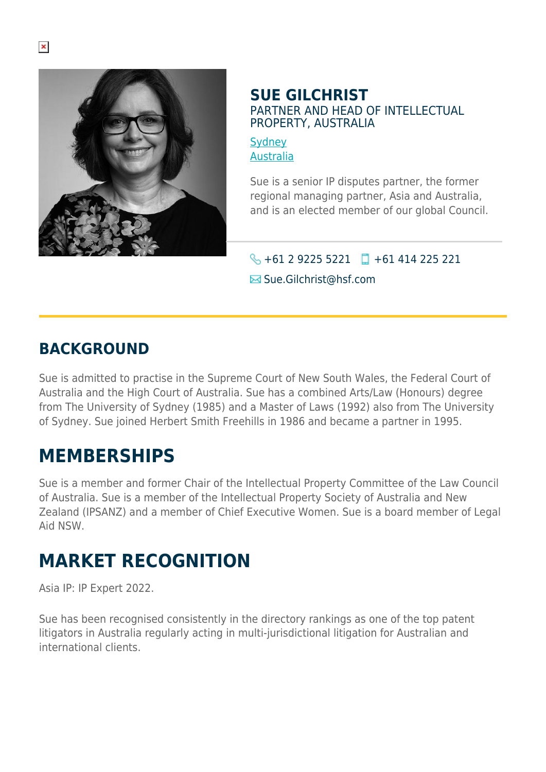

#### **SUE GILCHRIST** PARTNER AND HEAD OF INTELLECTUAL PROPERTY, AUSTRALIA

**[Sydney](https://www.herbertsmithfreehills.com/lang-zh-hans/where-we-work/sydney)** [Australia](https://www.herbertsmithfreehills.com/lang-zh-hans/where-we-work/australia)

Sue is a senior IP disputes partner, the former regional managing partner, Asia and Australia, and is an elected member of our global Council.

 $\bigotimes$  +61 2 9225 5221 +61 414 225 221

 $\blacksquare$  Sue.Gilchrist@hsf.com

# **BACKGROUND**

Sue is admitted to practise in the Supreme Court of New South Wales, the Federal Court of Australia and the High Court of Australia. Sue has a combined Arts/Law (Honours) degree from The University of Sydney (1985) and a Master of Laws (1992) also from The University of Sydney. Sue joined Herbert Smith Freehills in 1986 and became a partner in 1995.

# **MEMBERSHIPS**

Sue is a member and former Chair of the Intellectual Property Committee of the Law Council of Australia. Sue is a member of the Intellectual Property Society of Australia and New Zealand (IPSANZ) and a member of Chief Executive Women. Sue is a board member of Legal Aid NSW.

# **MARKET RECOGNITION**

Asia IP: IP Expert 2022.

Sue has been recognised consistently in the directory rankings as one of the top patent litigators in Australia regularly acting in multi-jurisdictional litigation for Australian and international clients.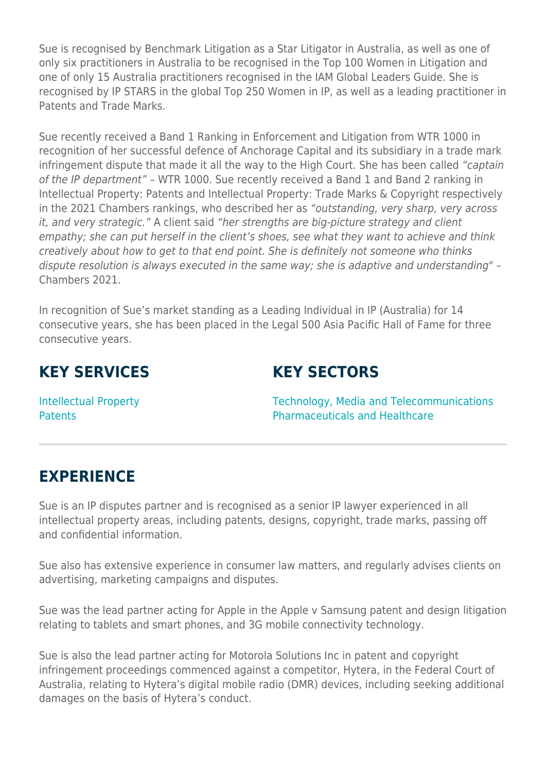Sue is recognised by Benchmark Litigation as a Star Litigator in Australia, as well as one of only six practitioners in Australia to be recognised in the Top 100 Women in Litigation and one of only 15 Australia practitioners recognised in the IAM Global Leaders Guide. She is recognised by IP STARS in the global Top 250 Women in IP, as well as a leading practitioner in Patents and Trade Marks.

Sue recently received a Band 1 Ranking in Enforcement and Litigation from WTR 1000 in recognition of her successful defence of Anchorage Capital and its subsidiary in a trade mark infringement dispute that made it all the way to the High Court. She has been called "captain of the IP department" – WTR 1000. Sue recently received a Band 1 and Band 2 ranking in Intellectual Property: Patents and Intellectual Property: Trade Marks & Copyright respectively in the 2021 Chambers rankings, who described her as "outstanding, very sharp, very across it, and very strategic." A client said "her strengths are big-picture strategy and client empathy; she can put herself in the client's shoes, see what they want to achieve and think creatively about how to get to that end point. She is definitely not someone who thinks dispute resolution is always executed in the same way; she is adaptive and understanding" – Chambers 2021.

In recognition of Sue's market standing as a Leading Individual in IP (Australia) for 14 consecutive years, she has been placed in the Legal 500 Asia Pacific Hall of Fame for three consecutive years.

## **KEY SERVICES**

#### **KEY SECTORS**

Intellectual Property **Patents** 

Technology, Media and Telecommunications Pharmaceuticals and Healthcare

## **EXPERIENCE**

Sue is an IP disputes partner and is recognised as a senior IP lawyer experienced in all intellectual property areas, including patents, designs, copyright, trade marks, passing off and confidential information.

Sue also has extensive experience in consumer law matters, and regularly advises clients on advertising, marketing campaigns and disputes.

Sue was the lead partner acting for Apple in the Apple v Samsung patent and design litigation relating to tablets and smart phones, and 3G mobile connectivity technology.

Sue is also the lead partner acting for Motorola Solutions Inc in patent and copyright infringement proceedings commenced against a competitor, Hytera, in the Federal Court of Australia, relating to Hytera's digital mobile radio (DMR) devices, including seeking additional damages on the basis of Hytera's conduct.